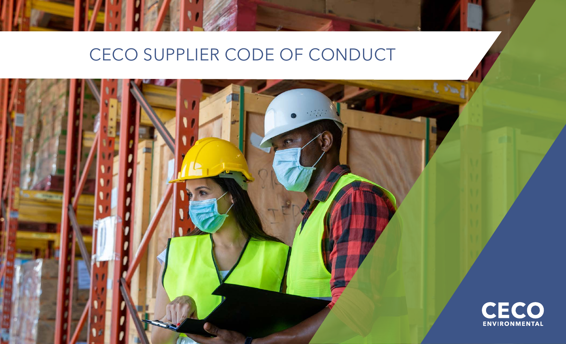## CECO SUPPLIER CODE OF CONDUCT

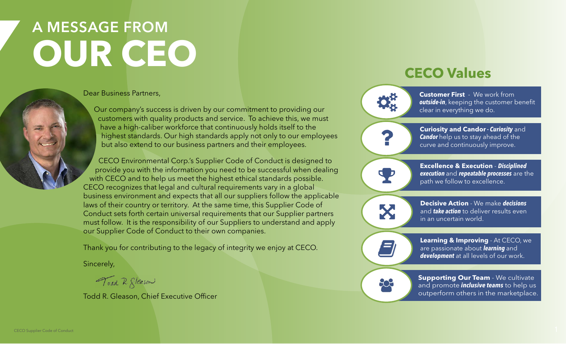# A MESSAGE FROM **OUR CEO**

Dear Business Partners,

Our company's success is driven by our commitment to providing our customers with quality products and service. To achieve this, we must have a high-caliber workforce that continuously holds itself to the highest standards. Our high standards apply not only to our employees but also extend to our business partners and their employees.

CECO Environmental Corp.'s Supplier Code of Conduct is designed to provide you with the information you need to be successful when dealing with CECO and to help us meet the highest ethical standards possible. CECO recognizes that legal and cultural requirements vary in a global business environment and expects that all our suppliers follow the applicable laws of their country or territory. At the same time, this Supplier Code of Conduct sets forth certain universal requirements that our Supplier partners must follow. It is the responsibility of our Suppliers to understand and apply our Supplier Code of Conduct to their own companies.

Thank you for contributing to the legacy of integrity we enjoy at CECO.

Sincerely,

Toad R. Steason

Todd R. Gleason, Chief Executive Officer

### **CECO Values**



**Customer First** - We work from **outside-in**, keeping the customer benefit clear in everything we do.



**Excellence & Execution** - **Disciplined execution** and **repeatable processes** are the path we follow to excellence.

X

E)

 $\mathbf{P}$ 

**Decisive Action** - We make **decisions**  and **take action** to deliver results even in an uncertain world.

**Learning & Improving** - At CECO, we are passionate about **learning** and **development** at all levels of our work.

 $22$ 

**Supporting Our Team** - We cultivate and promote **inclusive teams** to help us outperform others in the marketplace.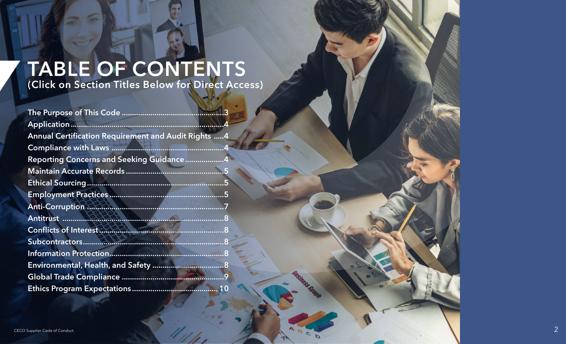# TABLE OF CONTENTS

 $\sigma$ 

(Click on Section Titles Below for Direct Access)

| <b>Annual Certification Requirement and Audit Rights 4</b> |  |
|------------------------------------------------------------|--|
|                                                            |  |
| Reporting Concerns and Seeking Guidance4                   |  |
|                                                            |  |
|                                                            |  |
|                                                            |  |
|                                                            |  |
|                                                            |  |
|                                                            |  |
|                                                            |  |
|                                                            |  |
|                                                            |  |
|                                                            |  |
|                                                            |  |

**Gusiness Glass** 

D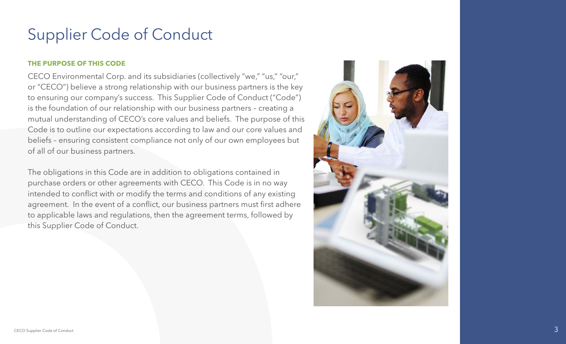#### <span id="page-3-0"></span>**THE PURPOSE OF THIS CODE**

CECO Environmental Corp. and its subsidiaries (collectively "we," "us," "our," or "CECO") believe a strong relationship with our business partners is the key to ensuring our company's success. This Supplier Code of Conduct ("Code") is the foundation of our relationship with our business partners – creating a mutual understanding of CECO's core values and beliefs. The purpose of this Code is to outline our expectations according to law and our core values and beliefs – ensuring consistent compliance not only of our own employees but of all of our business partners.

The obligations in this Code are in addition to obligations contained in purchase orders or other agreements with CECO. This Code is in no way intended to conflict with or modify the terms and conditions of any existing agreement. In the event of a conflict, our business partners must first adhere to applicable laws and regulations, then the agreement terms, followed by this Supplier Code of Conduct.

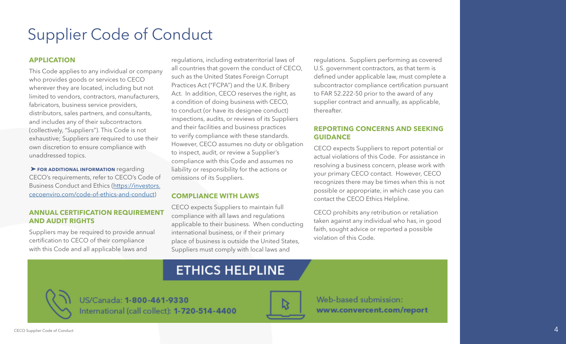#### <span id="page-4-0"></span>**APPLICATION**

This Code applies to any individual or company who provides goods or services to CECO wherever they are located, including but not limited to vendors, contractors, manufacturers, fabricators, business service providers, distributors, sales partners, and consultants, and includes any of their subcontractors (collectively, "Suppliers"). This Code is not exhaustive; Suppliers are required to use their own discretion to ensure compliance with unaddressed topics.

➤ **FOR ADDITIONAL INFORMATION** regarding CECO's requirements, refer to CECO's Code of Business Conduct and Ethics ([https://investors.](https://investors.cecoenviro.com/code-of-ethics-and-conduct) [cecoenviro.com/code-of-ethics-and-conduct](https://investors.cecoenviro.com/code-of-ethics-and-conduct))

#### **ANNUAL CERTIFICATION REQUIREMENT AND AUDIT RIGHTS**

Suppliers may be required to provide annual certification to CECO of their compliance with this Code and all applicable laws and

regulations, including extraterritorial laws of all countries that govern the conduct of CECO, such as the United States Foreign Corrupt Practices Act ("FCPA") and the U.K. Bribery Act. In addition, CECO reserves the right, as a condition of doing business with CECO, to conduct (or have its designee conduct) inspections, audits, or reviews of its Suppliers and their facilities and business practices to verify compliance with these standards. However, CECO assumes no duty or obligation to inspect, audit, or review a Supplier's compliance with this Code and assumes no liability or responsibility for the actions or omissions of its Suppliers.

#### **COMPLIANCE WITH LAWS**

CECO expects Suppliers to maintain full compliance with all laws and regulations applicable to their business. When conducting international business, or if their primary place of business is outside the United States, Suppliers must comply with local laws and

regulations. Suppliers performing as covered U.S. government contractors, as that term is defined under applicable law, must complete a subcontractor compliance certification pursuant to FAR 52.222-50 prior to the award of any supplier contract and annually, as applicable, thereafter.

#### **REPORTING CONCERNS AND SEEKING GUIDANCE**

CECO expects Suppliers to report potential or actual violations of this Code. For assistance in resolving a business concern, please work with your primary CECO contact. However, CECO recognizes there may be times when this is not possible or appropriate, in which case you can contact the CECO Ethics Helpline.

CECO prohibits any retribution or retaliation taken against any individual who has, in good faith, sought advice or reported a possible violation of this Code.



US/Canada: 1-800-461-9330 International (call collect): 1-720-514-4400



Web-based submission: www.convercent.com/report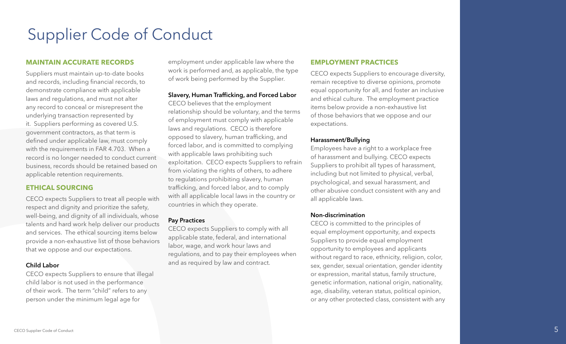applicable retention requirements.

**MAINTAIN ACCURATE RECORDS**

Suppliers must maintain up-to-date books and records, including financial records, to demonstrate compliance with applicable laws and regulations, and must not alter any record to conceal or misrepresent the underlying transaction represented by it. Suppliers performing as covered U.S. government contractors, as that term is defined under applicable law, must comply with the requirements in FAR 4.703. When a record is no longer needed to conduct current business, records should be retained based on

CECO expects Suppliers to treat all people with respect and dignity and prioritize the safety, well-being, and dignity of all individuals, whose talents and hard work help deliver our products and services. The ethical sourcing items below provide a non-exhaustive list of those behaviors that we oppose and our expectations.

<span id="page-5-0"></span>Supplier Code of Conduct

#### Child Labor

CECO expects Suppliers to ensure that illegal child labor is not used in the performance of their work. The term "child" refers to any person under the minimum legal age for

employment under applicable law where the work is performed and, as applicable, the type of work being performed by the Supplier.

#### Slavery, Human Trafficking, and Forced Labor

CECO believes that the employment relationship should be voluntary, and the terms of employment must comply with applicable laws and regulations. CECO is therefore opposed to slavery, human trafficking, and forced labor, and is committed to complying with applicable laws prohibiting such exploitation. CECO expects Suppliers to refrain from violating the rights of others, to adhere to regulations prohibiting slavery, human trafficking, and forced labor, and to comply with all applicable local laws in the country or countries in which they operate.

#### Pay Practices

CECO expects Suppliers to comply with all applicable state, federal, and international labor, wage, and work hour laws and regulations, and to pay their employees when and as required by law and contract.

#### **EMPLOYMENT PRACTICES**

CECO expects Suppliers to encourage diversity, remain receptive to diverse opinions, promote equal opportunity for all, and foster an inclusive and ethical culture. The employment practice items below provide a non-exhaustive list of those behaviors that we oppose and our expectations.

#### Harassment/Bullying

Employees have a right to a workplace free of harassment and bullying. CECO expects Suppliers to prohibit all types of harassment, including but not limited to physical, verbal, psychological, and sexual harassment, and other abusive conduct consistent with any and all applicable laws.

#### Non-discrimination

CECO is committed to the principles of equal employment opportunity, and expects Suppliers to provide equal employment opportunity to employees and applicants without regard to race, ethnicity, religion, color, sex, gender, sexual orientation, gender identity or expression, marital status, family structure, genetic information, national origin, nationality, age, disability, veteran status, political opinion, or any other protected class, consistent with any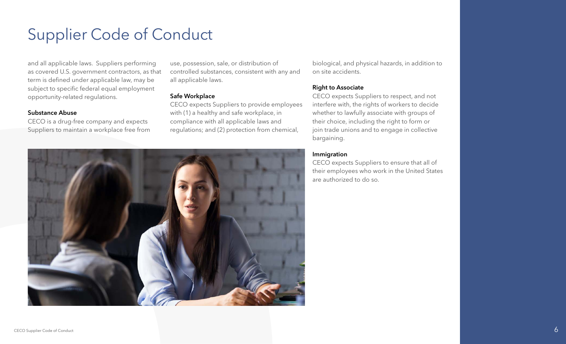and all applicable laws. Suppliers performing as covered U.S. government contractors, as that term is defined under applicable law, may be subject to specific federal equal employment opportunity-related regulations.

#### Substance Abuse

CECO is a drug-free company and expects Suppliers to maintain a workplace free from use, possession, sale, or distribution of controlled substances, consistent with any and all applicable laws.

#### Safe Workplace

CECO expects Suppliers to provide employees with (1) a healthy and safe workplace, in compliance with all applicable laws and regulations; and (2) protection from chemical,

biological, and physical hazards, in addition to on site accidents.

#### Right to Associate

CECO expects Suppliers to respect, and not interfere with, the rights of workers to decide whether to lawfully associate with groups of their choice, including the right to form or join trade unions and to engage in collective bargaining.

#### Immigration

CECO expects Suppliers to ensure that all of their employees who work in the United States are authorized to do so.

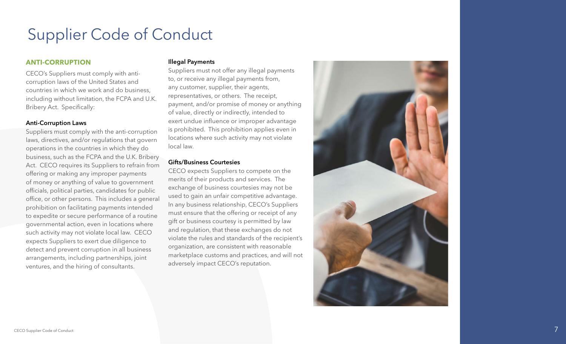#### <span id="page-7-0"></span>**ANTI-CORRUPTION**

CECO's Suppliers must comply with anticorruption laws of the United States and countries in which we work and do business, including without limitation, the FCPA and U.K. Bribery Act. Specifically:

#### Anti-Corruption Laws

Suppliers must comply with the anti-corruption laws, directives, and/or regulations that govern operations in the countries in which they do business, such as the FCPA and the U.K. Bribery Act. CECO requires its Suppliers to refrain from offering or making any improper payments of money or anything of value to government officials, political parties, candidates for public office, or other persons. This includes a general prohibition on facilitating payments intended to expedite or secure performance of a routine governmental action, even in locations where such activity may not violate local law. CECO expects Suppliers to exert due diligence to detect and prevent corruption in all business arrangements, including partnerships, joint ventures, and the hiring of consultants.

#### Illegal Payments

Suppliers must not offer any illegal payments to, or receive any illegal payments from, any customer, supplier, their agents, representatives, or others. The receipt, payment, and/or promise of money or anything of value, directly or indirectly, intended to exert undue influence or improper advantage is prohibited. This prohibition applies even in locations where such activity may not violate local law.

#### Gifts/Business Courtesies

CECO expects Suppliers to compete on the merits of their products and services. The exchange of business courtesies may not be used to gain an unfair competitive advantage. In any business relationship, CECO's Suppliers must ensure that the offering or receipt of any gift or business courtesy is permitted by law and regulation, that these exchanges do not violate the rules and standards of the recipient's organization, are consistent with reasonable marketplace customs and practices, and will not adversely impact CECO's reputation.

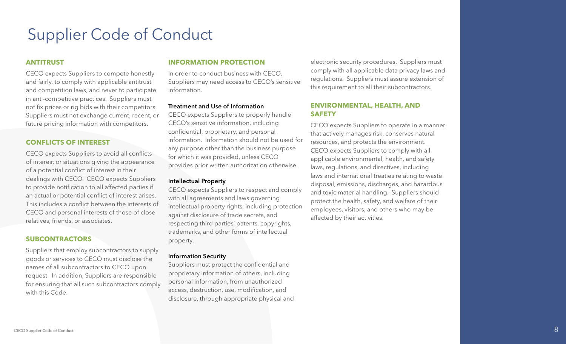#### <span id="page-8-0"></span>**ANTITRUST**

CECO expects Suppliers to compete honestly and fairly, to comply with applicable antitrust and competition laws, and never to participate in anti-competitive practices. Suppliers must not fix prices or rig bids with their competitors. Suppliers must not exchange current, recent, or future pricing information with competitors.

#### **CONFLICTS OF INTEREST**

CECO expects Suppliers to avoid all conflicts of interest or situations giving the appearance of a potential conflict of interest in their dealings with CECO. CECO expects Suppliers to provide notification to all affected parties if an actual or potential conflict of interest arises. This includes a conflict between the interests of CECO and personal interests of those of close relatives, friends, or associates.

#### **SUBCONTRACTORS**

Suppliers that employ subcontractors to supply goods or services to CECO must disclose the names of all subcontractors to CECO upon request. In addition, Suppliers are responsible for ensuring that all such subcontractors comply with this Code.

#### **INFORMATION PROTECTION**

In order to conduct business with CECO, Suppliers may need access to CECO's sensitive information.

#### Treatment and Use of Information

CECO expects Suppliers to properly handle CECO's sensitive information, including confidential, proprietary, and personal information. Information should not be used for any purpose other than the business purpose for which it was provided, unless CECO provides prior written authorization otherwise.

#### Intellectual Property

CECO expects Suppliers to respect and comply with all agreements and laws governing intellectual property rights, including protection against disclosure of trade secrets, and respecting third parties' patents, copyrights, trademarks, and other forms of intellectual property.

#### Information Security

Suppliers must protect the confidential and proprietary information of others, including personal information, from unauthorized access, destruction, use, modification, and disclosure, through appropriate physical and

electronic security procedures. Suppliers must comply with all applicable data privacy laws and regulations. Suppliers must assure extension of this requirement to all their subcontractors.

#### **ENVIRONMENTAL, HEALTH, AND SAFETY**

CECO expects Suppliers to operate in a manner that actively manages risk, conserves natural resources, and protects the environment. CECO expects Suppliers to comply with all applicable environmental, health, and safety laws, regulations, and directives, including laws and international treaties relating to waste disposal, emissions, discharges, and hazardous and toxic material handling. Suppliers should protect the health, safety, and welfare of their employees, visitors, and others who may be affected by their activities.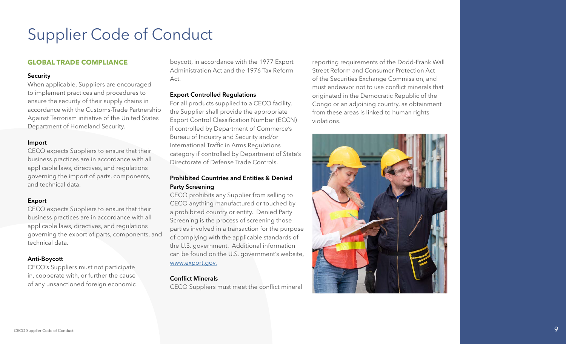#### <span id="page-9-0"></span>**GLOBAL TRADE COMPLIANCE**

#### **Security**

When applicable, Suppliers are encouraged to implement practices and procedures to ensure the security of their supply chains in accordance with the Customs-Trade Partnership Against Terrorism initiative of the United States Department of Homeland Security.

#### Import

CECO expects Suppliers to ensure that their business practices are in accordance with all applicable laws, directives, and regulations governing the import of parts, components, and technical data.

#### Export

CECO expects Suppliers to ensure that their business practices are in accordance with all applicable laws, directives, and regulations governing the export of parts, components, and technical data.

#### Anti-Boycott

CECO's Suppliers must not participate in, cooperate with, or further the cause of any unsanctioned foreign economic boycott, in accordance with the 1977 Export Administration Act and the 1976 Tax Reform Act.

#### Export Controlled Regulations

For all products supplied to a CECO facility, the Supplier shall provide the appropriate Export Control Classification Number (ECCN) if controlled by Department of Commerce's Bureau of Industry and Security and/or International Traffic in Arms Regulations category if controlled by Department of State's Directorate of Defense Trade Controls.

#### Prohibited Countries and Entities & Denied Party Screening

CECO prohibits any Supplier from selling to CECO anything manufactured or touched by a prohibited country or entity. Denied Party Screening is the process of screening those parties involved in a transaction for the purpose of complying with the applicable standards of the U.S. government. Additional information can be found on the U.S. government's website, [www.export.gov.](http://www.export.gov.)

#### Conflict Minerals

CECO Suppliers must meet the conflict mineral

reporting requirements of the Dodd-Frank Wall Street Reform and Consumer Protection Act of the Securities Exchange Commission, and must endeavor not to use conflict minerals that originated in the Democratic Republic of the Congo or an adjoining country, as obtainment from these areas is linked to human rights violations.

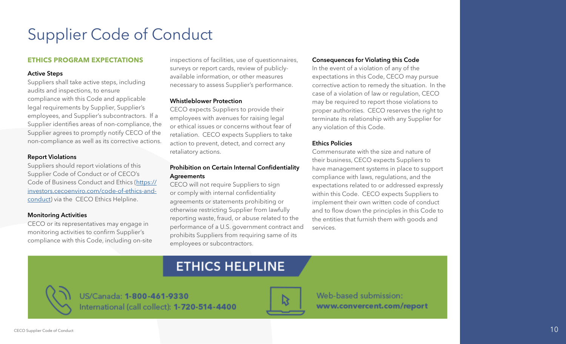#### <span id="page-10-0"></span>**ETHICS PROGRAM EXPECTATIONS**

#### Active Steps

Suppliers shall take active steps, including audits and inspections, to ensure compliance with this Code and applicable legal requirements by Supplier, Supplier's employees, and Supplier's subcontractors. If a Supplier identifies areas of non-compliance, the Supplier agrees to promptly notify CECO of the non-compliance as well as its corrective actions.

#### Report Violations

Suppliers should report violations of this Supplier Code of Conduct or of CECO's Code of Business Conduct and Ethics [\(https://](https://investors.cecoenviro.com/code-of-ethics-and-conduct) [investors.cecoenviro.com/code-of-ethics-and](https://investors.cecoenviro.com/code-of-ethics-and-conduct)[conduct](https://investors.cecoenviro.com/code-of-ethics-and-conduct)) via the CECO Ethics Helpline.

#### Monitoring Activities

CECO or its representatives may engage in monitoring activities to confirm Supplier's compliance with this Code, including on-site inspections of facilities, use of questionnaires, surveys or report cards, review of publiclyavailable information, or other measures necessary to assess Supplier's performance.

#### Whistleblower Protection

CECO expects Suppliers to provide their employees with avenues for raising legal or ethical issues or concerns without fear of retaliation. CECO expects Suppliers to take action to prevent, detect, and correct any retaliatory actions.

#### Prohibition on Certain Internal Confidentiality Agreements

CECO will not require Suppliers to sign or comply with internal confidentiality agreements or statements prohibiting or otherwise restricting Supplier from lawfully reporting waste, fraud, or abuse related to the performance of a U.S. government contract and prohibits Suppliers from requiring same of its employees or subcontractors.

#### Consequences for Violating this Code

In the event of a violation of any of the expectations in this Code, CECO may pursue corrective action to remedy the situation. In the case of a violation of law or regulation, CECO may be required to report those violations to proper authorities. CECO reserves the right to terminate its relationship with any Supplier for any violation of this Code.

#### Ethics Policies

Commensurate with the size and nature of their business, CECO expects Suppliers to have management systems in place to support compliance with laws, regulations, and the expectations related to or addressed expressly within this Code. CECO expects Suppliers to implement their own written code of conduct and to flow down the principles in this Code to the entities that furnish them with goods and services.

### **ETHICS HELPLINE**

US/Canada: 1-800-461-9330 International (call collect): 1-720-514-4400



Web-based submission: www.convercent.com/report